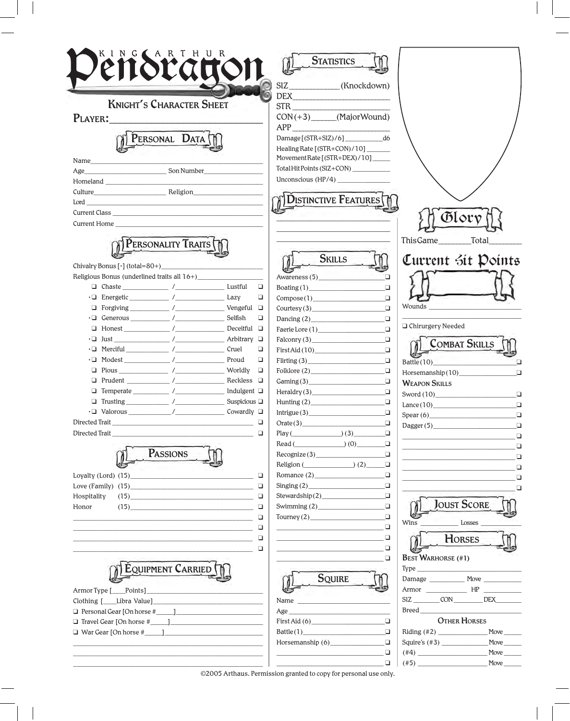| KING CARTHUR                                                                                 |                                           | <b>STATISTICS</b>                      |                                     |                                                                                                                                                                                                                                    |
|----------------------------------------------------------------------------------------------|-------------------------------------------|----------------------------------------|-------------------------------------|------------------------------------------------------------------------------------------------------------------------------------------------------------------------------------------------------------------------------------|
|                                                                                              |                                           |                                        |                                     |                                                                                                                                                                                                                                    |
|                                                                                              |                                           | SIZ____________(Knockdown)             |                                     |                                                                                                                                                                                                                                    |
|                                                                                              |                                           |                                        |                                     |                                                                                                                                                                                                                                    |
| <b>KNIGHT'S CHARACTER SHEET</b>                                                              |                                           | STR <sub>3</sub>                       |                                     |                                                                                                                                                                                                                                    |
| PLAYER:<br><b>Contract Contract Contract Contract</b>                                        |                                           | $CON(+3)$ (MajorWound)                 |                                     |                                                                                                                                                                                                                                    |
|                                                                                              |                                           | $APP_$                                 |                                     |                                                                                                                                                                                                                                    |
| PERSONAL DATA                                                                                |                                           | $Damage[(STR+SIZ)/6]$ d6               |                                     |                                                                                                                                                                                                                                    |
|                                                                                              |                                           | Healing Rate [(STR+CON)/10]            |                                     |                                                                                                                                                                                                                                    |
| Name                                                                                         |                                           | Movement Rate [(STR+DEX)/10]           |                                     |                                                                                                                                                                                                                                    |
|                                                                                              |                                           | Total Hit Points (SIZ+CON) ___________ |                                     |                                                                                                                                                                                                                                    |
| Homeland                                                                                     |                                           |                                        |                                     |                                                                                                                                                                                                                                    |
|                                                                                              |                                           |                                        |                                     |                                                                                                                                                                                                                                    |
| $\text{Lord} \underline{\hspace{2cm}}$                                                       |                                           | <b>DISTINCTIVE FEATURES</b>            |                                     |                                                                                                                                                                                                                                    |
|                                                                                              |                                           |                                        |                                     | Olor                                                                                                                                                                                                                               |
| Current Home                                                                                 |                                           |                                        |                                     |                                                                                                                                                                                                                                    |
|                                                                                              |                                           |                                        |                                     |                                                                                                                                                                                                                                    |
| PERSONALITY TRAITS                                                                           |                                           |                                        | ThisGame                            | Total                                                                                                                                                                                                                              |
|                                                                                              |                                           | <b>SKILLS</b>                          |                                     | Current sit Points                                                                                                                                                                                                                 |
|                                                                                              |                                           |                                        |                                     |                                                                                                                                                                                                                                    |
|                                                                                              |                                           | Awareness (5)                          | ⊓                                   |                                                                                                                                                                                                                                    |
|                                                                                              | □                                         | $\beta$ Boating $(1)$                  | $\Box$                              |                                                                                                                                                                                                                                    |
| · D Energetic ______________ /___________________ Lazy                                       | ❏                                         | Compose(1)                             | $\Box$                              |                                                                                                                                                                                                                                    |
| □ Forgiving ___________ /______________________ Vengeful □                                   |                                           | Country (3)                            | Wounds<br>$\Box$                    |                                                                                                                                                                                                                                    |
| $\cdot \Box$ Generous /                                                                      | Selfish<br>$\Box$                         | Dancing $(2)$                          | $\Box$<br>□ Chirurgery Needed       |                                                                                                                                                                                                                                    |
| $\Box$ Honest /                                                                              | Deceitful $\Box$                          |                                        | $\Box$                              |                                                                                                                                                                                                                                    |
|                                                                                              | Arbitrary $\Box$                          |                                        | $\Box$                              | <b>COMBAT SKILLS</b>                                                                                                                                                                                                               |
|                                                                                              | Cruel<br>❏                                | First Aid (10)                         | $\Box$                              |                                                                                                                                                                                                                                    |
|                                                                                              | Proud<br>□                                |                                        | ❏                                   | □                                                                                                                                                                                                                                  |
| □                                                                                            | Worldly<br>$\Box$                         | Folklore (2)                           | $\Box$                              | $\Box$                                                                                                                                                                                                                             |
| ❏                                                                                            | Reckless $\quad \Box$<br>Indulgent $\Box$ | Gaming(3)                              | $\Box$<br><b>WEAPON SKILLS</b>      |                                                                                                                                                                                                                                    |
|                                                                                              | Suspicious $\square$                      | $\text{Heraldry}(3)$                   | □                                   | $\Box$                                                                                                                                                                                                                             |
|                                                                                              |                                           | Hunting $(2)$                          | $\Box$<br>$\Box$                    | $\Box$                                                                                                                                                                                                                             |
| Directed Trait<br>the control of the control of the control of the control of the control of | ❏                                         | Oracle(3)                              | Spear(6)<br>□                       |                                                                                                                                                                                                                                    |
| Directed Trait                                                                               | □                                         | $Play(\_ \) (3)$                       | □                                   | Dagger(5)                                                                                                                                                                                                                          |
|                                                                                              |                                           | Read $($ (0)                           | o                                   |                                                                                                                                                                                                                                    |
| PASSIONS                                                                                     |                                           | Recognize (3)                          | $\Box$                              | the control of the control of the control of the control of the control of the control of the control of the control of the control of the control of the control of the control of the control of the control of the control<br>□ |
|                                                                                              |                                           | Religion $($ (2)                       | o                                   |                                                                                                                                                                                                                                    |
|                                                                                              | ❏                                         | Romance (2)                            | $\Box$                              |                                                                                                                                                                                                                                    |
|                                                                                              | ❏                                         | Singing (2)                            | $\Box$                              | the control of the control of the control of the control of the control of                                                                                                                                                         |
| Hospitality<br>$(15) \qquad \qquad \overbrace{\qquad \qquad }$                               | $\Box$                                    | Stewardship(2)                         | $\Box$                              |                                                                                                                                                                                                                                    |
| (15)<br>Honor                                                                                | ❏                                         |                                        | $\Box$                              | <b>JOUST SCORE</b>                                                                                                                                                                                                                 |
|                                                                                              | ❏                                         |                                        | $\Box$                              |                                                                                                                                                                                                                                    |
|                                                                                              | ❏                                         |                                        | Wins<br>$\Box$                      | Losses                                                                                                                                                                                                                             |
|                                                                                              | □                                         |                                        | $\Box$                              | <b>HORSES</b>                                                                                                                                                                                                                      |
|                                                                                              | □                                         |                                        | $\Box$                              |                                                                                                                                                                                                                                    |
|                                                                                              |                                           |                                        | <b>BEST WARHORSE (#1)</b><br>$\Box$ |                                                                                                                                                                                                                                    |
| <b>EQUIPMENT CARRIED</b>                                                                     |                                           |                                        |                                     |                                                                                                                                                                                                                                    |
|                                                                                              |                                           | <b>SQUIRE</b>                          |                                     |                                                                                                                                                                                                                                    |
|                                                                                              |                                           |                                        |                                     |                                                                                                                                                                                                                                    |
|                                                                                              |                                           |                                        |                                     | SIZ ___________ CON ___________ DEX _________                                                                                                                                                                                      |
|                                                                                              |                                           |                                        |                                     | Breed and the state of the state of the state of the state of the state of the state of the state of the state of the state of the state of the state of the state of the state of the state of the state of the state of the      |
|                                                                                              |                                           | First Aid (6)                          | □                                   | <b>OTHER HORSES</b>                                                                                                                                                                                                                |
|                                                                                              |                                           |                                        | $\Box$                              |                                                                                                                                                                                                                                    |
|                                                                                              |                                           |                                        | $\Box$                              |                                                                                                                                                                                                                                    |
|                                                                                              |                                           |                                        | $\Box$                              |                                                                                                                                                                                                                                    |
|                                                                                              |                                           |                                        | $\Box$<br>$(\#5)$                   | Move                                                                                                                                                                                                                               |

©2005 Arthaus. Permission granted to copy for personal use only.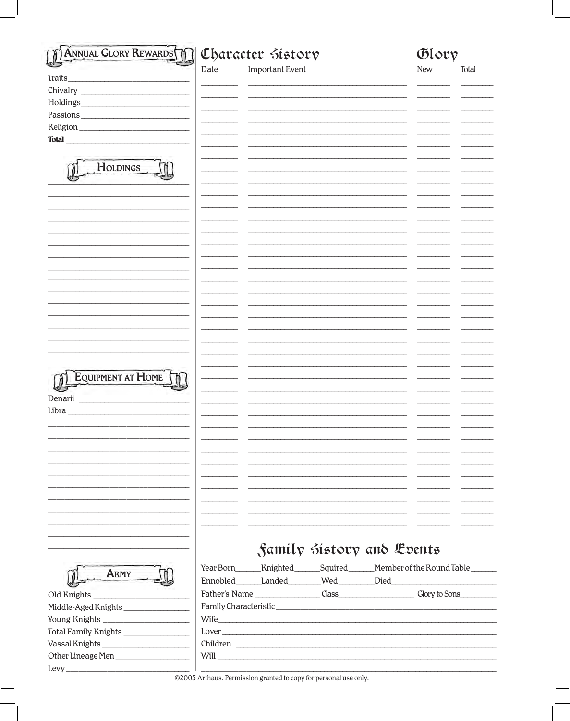| Important Event<br>Date<br>New<br>Total<br>Traits<br>Chivalry<br>Passions Passions<br>Total <u>and the second second second</u> second second second second second second second second second second second second second second second second second second second second second second second second second second sec<br>HOLDINGS<br>EQUIPMENT AT HOME<br>Denarii<br>Samily Sistory and Events<br>ARMY<br>Middle-Aged Knights<br>Total Family Knights ________________ | <b>ANNUAL GLORY REWARDS</b> | Character Sistory |  | Glory |  |
|----------------------------------------------------------------------------------------------------------------------------------------------------------------------------------------------------------------------------------------------------------------------------------------------------------------------------------------------------------------------------------------------------------------------------------------------------------------------------|-----------------------------|-------------------|--|-------|--|
|                                                                                                                                                                                                                                                                                                                                                                                                                                                                            |                             |                   |  |       |  |
|                                                                                                                                                                                                                                                                                                                                                                                                                                                                            |                             |                   |  |       |  |
|                                                                                                                                                                                                                                                                                                                                                                                                                                                                            |                             |                   |  |       |  |
|                                                                                                                                                                                                                                                                                                                                                                                                                                                                            |                             |                   |  |       |  |
|                                                                                                                                                                                                                                                                                                                                                                                                                                                                            |                             |                   |  |       |  |
| Year Born_______Knighted________Squired_______Member of the Round Table_______<br>Ennobled Landed Wed Died                                                                                                                                                                                                                                                                                                                                                                 |                             |                   |  |       |  |
|                                                                                                                                                                                                                                                                                                                                                                                                                                                                            |                             |                   |  |       |  |
|                                                                                                                                                                                                                                                                                                                                                                                                                                                                            |                             |                   |  |       |  |
|                                                                                                                                                                                                                                                                                                                                                                                                                                                                            |                             |                   |  |       |  |
|                                                                                                                                                                                                                                                                                                                                                                                                                                                                            |                             |                   |  |       |  |
|                                                                                                                                                                                                                                                                                                                                                                                                                                                                            |                             |                   |  |       |  |
|                                                                                                                                                                                                                                                                                                                                                                                                                                                                            |                             |                   |  |       |  |
|                                                                                                                                                                                                                                                                                                                                                                                                                                                                            |                             |                   |  |       |  |
|                                                                                                                                                                                                                                                                                                                                                                                                                                                                            |                             |                   |  |       |  |
|                                                                                                                                                                                                                                                                                                                                                                                                                                                                            |                             |                   |  |       |  |
|                                                                                                                                                                                                                                                                                                                                                                                                                                                                            |                             |                   |  |       |  |
|                                                                                                                                                                                                                                                                                                                                                                                                                                                                            |                             |                   |  |       |  |
|                                                                                                                                                                                                                                                                                                                                                                                                                                                                            |                             |                   |  |       |  |
|                                                                                                                                                                                                                                                                                                                                                                                                                                                                            |                             |                   |  |       |  |
|                                                                                                                                                                                                                                                                                                                                                                                                                                                                            |                             |                   |  |       |  |
|                                                                                                                                                                                                                                                                                                                                                                                                                                                                            |                             |                   |  |       |  |
|                                                                                                                                                                                                                                                                                                                                                                                                                                                                            |                             |                   |  |       |  |
|                                                                                                                                                                                                                                                                                                                                                                                                                                                                            |                             |                   |  |       |  |
|                                                                                                                                                                                                                                                                                                                                                                                                                                                                            |                             |                   |  |       |  |
|                                                                                                                                                                                                                                                                                                                                                                                                                                                                            |                             |                   |  |       |  |
|                                                                                                                                                                                                                                                                                                                                                                                                                                                                            |                             |                   |  |       |  |
|                                                                                                                                                                                                                                                                                                                                                                                                                                                                            |                             |                   |  |       |  |
|                                                                                                                                                                                                                                                                                                                                                                                                                                                                            | Libra                       |                   |  |       |  |
|                                                                                                                                                                                                                                                                                                                                                                                                                                                                            |                             |                   |  |       |  |
|                                                                                                                                                                                                                                                                                                                                                                                                                                                                            |                             |                   |  |       |  |
|                                                                                                                                                                                                                                                                                                                                                                                                                                                                            |                             |                   |  |       |  |
|                                                                                                                                                                                                                                                                                                                                                                                                                                                                            |                             |                   |  |       |  |
|                                                                                                                                                                                                                                                                                                                                                                                                                                                                            |                             |                   |  |       |  |
|                                                                                                                                                                                                                                                                                                                                                                                                                                                                            |                             |                   |  |       |  |
|                                                                                                                                                                                                                                                                                                                                                                                                                                                                            |                             |                   |  |       |  |
|                                                                                                                                                                                                                                                                                                                                                                                                                                                                            |                             |                   |  |       |  |
|                                                                                                                                                                                                                                                                                                                                                                                                                                                                            |                             |                   |  |       |  |
|                                                                                                                                                                                                                                                                                                                                                                                                                                                                            |                             |                   |  |       |  |
|                                                                                                                                                                                                                                                                                                                                                                                                                                                                            |                             |                   |  |       |  |
|                                                                                                                                                                                                                                                                                                                                                                                                                                                                            |                             |                   |  |       |  |
|                                                                                                                                                                                                                                                                                                                                                                                                                                                                            |                             |                   |  |       |  |
|                                                                                                                                                                                                                                                                                                                                                                                                                                                                            |                             |                   |  |       |  |
|                                                                                                                                                                                                                                                                                                                                                                                                                                                                            |                             |                   |  |       |  |
|                                                                                                                                                                                                                                                                                                                                                                                                                                                                            |                             |                   |  |       |  |
|                                                                                                                                                                                                                                                                                                                                                                                                                                                                            |                             |                   |  |       |  |
|                                                                                                                                                                                                                                                                                                                                                                                                                                                                            |                             |                   |  |       |  |
|                                                                                                                                                                                                                                                                                                                                                                                                                                                                            | Other Lineage Men           |                   |  |       |  |
|                                                                                                                                                                                                                                                                                                                                                                                                                                                                            |                             |                   |  |       |  |

©2005 Arthaus. Permission granted to copy for personal use only.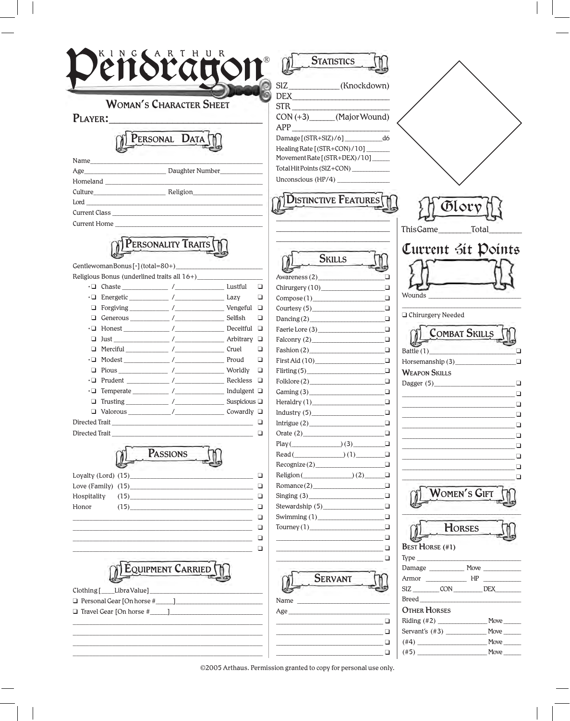| KING AARTHUR<br><b>TYTT</b>                                                                                                                                                                                                                                                                                                                                                                                                        | <b>STATISTICS</b>                                                                                                         |
|------------------------------------------------------------------------------------------------------------------------------------------------------------------------------------------------------------------------------------------------------------------------------------------------------------------------------------------------------------------------------------------------------------------------------------|---------------------------------------------------------------------------------------------------------------------------|
|                                                                                                                                                                                                                                                                                                                                                                                                                                    | SIZ____________(Knockdown)<br>DEX                                                                                         |
| <b>WOMAN'S CHARACTER SHEET</b>                                                                                                                                                                                                                                                                                                                                                                                                     | STR                                                                                                                       |
| PLAYER:                                                                                                                                                                                                                                                                                                                                                                                                                            | CON (+3)______(Major Wound)                                                                                               |
| the control of the control of the control of the control of the control of the control of the control of the control of the control of the control of the control of the control of the control of the control of the control                                                                                                                                                                                                      | APP                                                                                                                       |
| PERSONAL DATA                                                                                                                                                                                                                                                                                                                                                                                                                      | Damage [(STR+SlZ)/6] ____________ d6                                                                                      |
|                                                                                                                                                                                                                                                                                                                                                                                                                                    | Healing Rate [(STR+CON)/10]                                                                                               |
| Name                                                                                                                                                                                                                                                                                                                                                                                                                               | MovementRate[(STR+DEX)/10]_____                                                                                           |
|                                                                                                                                                                                                                                                                                                                                                                                                                                    | Total Hit Points (SIZ+CON) ___________                                                                                    |
|                                                                                                                                                                                                                                                                                                                                                                                                                                    | Unconscious (HP/4)                                                                                                        |
|                                                                                                                                                                                                                                                                                                                                                                                                                                    |                                                                                                                           |
|                                                                                                                                                                                                                                                                                                                                                                                                                                    | <b>DISTINCTIVE FEATURES</b>                                                                                               |
| Current Class                                                                                                                                                                                                                                                                                                                                                                                                                      | Glory                                                                                                                     |
| <b>Current Home Example 2018</b>                                                                                                                                                                                                                                                                                                                                                                                                   |                                                                                                                           |
|                                                                                                                                                                                                                                                                                                                                                                                                                                    | ThisGame Total                                                                                                            |
|                                                                                                                                                                                                                                                                                                                                                                                                                                    |                                                                                                                           |
| PERSONALITY TRAITS                                                                                                                                                                                                                                                                                                                                                                                                                 | Current Sit Points                                                                                                        |
|                                                                                                                                                                                                                                                                                                                                                                                                                                    | <b>SKILLS</b>                                                                                                             |
|                                                                                                                                                                                                                                                                                                                                                                                                                                    |                                                                                                                           |
|                                                                                                                                                                                                                                                                                                                                                                                                                                    | Awareness (2)<br>$\Box$<br>$\Box$                                                                                         |
|                                                                                                                                                                                                                                                                                                                                                                                                                                    | $\Box$<br>Chirurgery (10)<br>Wounds<br>$\Box$<br>$\Box$                                                                   |
|                                                                                                                                                                                                                                                                                                                                                                                                                                    | Compose(1)<br>$\Box$                                                                                                      |
| Selfish<br>Q.                                                                                                                                                                                                                                                                                                                                                                                                                      | □ Chirurgery Needed<br>$\Box$<br>$\Box$                                                                                   |
| Deceitful $\Box$                                                                                                                                                                                                                                                                                                                                                                                                                   | Dancing(2)                                                                                                                |
| $\frac{1}{1}$<br>Arbitrary $\Box$<br>Q.                                                                                                                                                                                                                                                                                                                                                                                            | $\Box$<br><b>COMBAT SKILLS</b><br>$\Box$                                                                                  |
| Cruel<br>□                                                                                                                                                                                                                                                                                                                                                                                                                         | Falconry $(2)$                                                                                                            |
|                                                                                                                                                                                                                                                                                                                                                                                                                                    | □<br>Fashion $(2)$<br>$\Box$<br>Battle (1)                                                                                |
| Proud                                                                                                                                                                                                                                                                                                                                                                                                                              | $\Box$<br>First Aid (10)<br>$\Box$<br>Horsemanship (3)                                                                    |
| Pious $\frac{1}{\sqrt{1-\frac{1}{\sqrt{1-\frac{1}{\sqrt{1-\frac{1}{\sqrt{1-\frac{1}{\sqrt{1-\frac{1}{\sqrt{1-\frac{1}{\sqrt{1-\frac{1}{\sqrt{1-\frac{1}{\sqrt{1-\frac{1}{\sqrt{1-\frac{1}{\sqrt{1-\frac{1}{\sqrt{1-\frac{1}{\sqrt{1-\frac{1}{\sqrt{1-\frac{1}{\sqrt{1-\frac{1}{\sqrt{1-\frac{1}{\sqrt{1-\frac{1}{\sqrt{1-\frac{1}{\sqrt{1-\frac{1}{\sqrt{1-\frac{1}{\sqrt{1-\frac{1}{\sqrt{1-\frac{1}{\sqrt{1-\frac{1}{\sqrt$<br>❏ | $\Box$<br>$P1$ in $(5)$<br>$\Box$<br><b>WEAPON SKILLS</b>                                                                 |
| $\cdot \Box$                                                                                                                                                                                                                                                                                                                                                                                                                       | Folklore(2)<br>$\Box$                                                                                                     |
|                                                                                                                                                                                                                                                                                                                                                                                                                                    | $\Box$                                                                                                                    |
|                                                                                                                                                                                                                                                                                                                                                                                                                                    | $\text{Heraldry (1)}$<br>$\Box$                                                                                           |
|                                                                                                                                                                                                                                                                                                                                                                                                                                    | $\Box$<br>$\text{Industry (5)}$                                                                                           |
| Directed Trait_                                                                                                                                                                                                                                                                                                                                                                                                                    | Intrique(2)<br>$\Box$                                                                                                     |
| Directed Trait                                                                                                                                                                                                                                                                                                                                                                                                                     | $\Box$                                                                                                                    |
|                                                                                                                                                                                                                                                                                                                                                                                                                                    | $Play(\_)(3)$<br>$\Box$                                                                                                   |
| PASSIONS                                                                                                                                                                                                                                                                                                                                                                                                                           | $Read(\_)(1)$<br>$\Box$<br>the control of the control of the control of the control of the control of                     |
|                                                                                                                                                                                                                                                                                                                                                                                                                                    | Recognize (2)<br>$\Box$                                                                                                   |
| Loyalty $(Lord)$ $(15)$                                                                                                                                                                                                                                                                                                                                                                                                            | $Religion(\_) (2)$<br>σ<br>□<br>$\Box$                                                                                    |
| Love (Family) $(15)$                                                                                                                                                                                                                                                                                                                                                                                                               | Romance(2)<br>WOMEN'S GIFT<br>$\Box$<br>Singing (3)                                                                       |
| Hospitality<br>(15)                                                                                                                                                                                                                                                                                                                                                                                                                | $\Box$                                                                                                                    |
| Honor<br>(15)                                                                                                                                                                                                                                                                                                                                                                                                                      | Stewardship $(5)$                                                                                                         |
|                                                                                                                                                                                                                                                                                                                                                                                                                                    | $\Box$<br>$\Box$<br>$\Box$<br>$T_{\text{ourney}}(1)$                                                                      |
|                                                                                                                                                                                                                                                                                                                                                                                                                                    | <b>HORSES</b><br>$\Box$<br>$\Box$                                                                                         |
|                                                                                                                                                                                                                                                                                                                                                                                                                                    | $\Box$<br>the control of the control of the control of the control of<br><b>BEST HORSE (#1)</b><br>$\Box$                 |
|                                                                                                                                                                                                                                                                                                                                                                                                                                    | $\Box$<br>$\Box$                                                                                                          |
| <b>EQUIPMENT CARRIED</b>                                                                                                                                                                                                                                                                                                                                                                                                           | Damage ________________ Move ______________                                                                               |
|                                                                                                                                                                                                                                                                                                                                                                                                                                    | <b>SERVANT</b>                                                                                                            |
|                                                                                                                                                                                                                                                                                                                                                                                                                                    |                                                                                                                           |
|                                                                                                                                                                                                                                                                                                                                                                                                                                    |                                                                                                                           |
|                                                                                                                                                                                                                                                                                                                                                                                                                                    | Name<br>OTHER HORSES                                                                                                      |
|                                                                                                                                                                                                                                                                                                                                                                                                                                    | Age<br>$\Box$                                                                                                             |
|                                                                                                                                                                                                                                                                                                                                                                                                                                    | $\Box$                                                                                                                    |
|                                                                                                                                                                                                                                                                                                                                                                                                                                    | the contract of the contract of the contract of the contract of the contract of the contract of the contract of<br>$\Box$ |
|                                                                                                                                                                                                                                                                                                                                                                                                                                    |                                                                                                                           |

©2005 Arthaus. Permission granted to copy for personal use only.